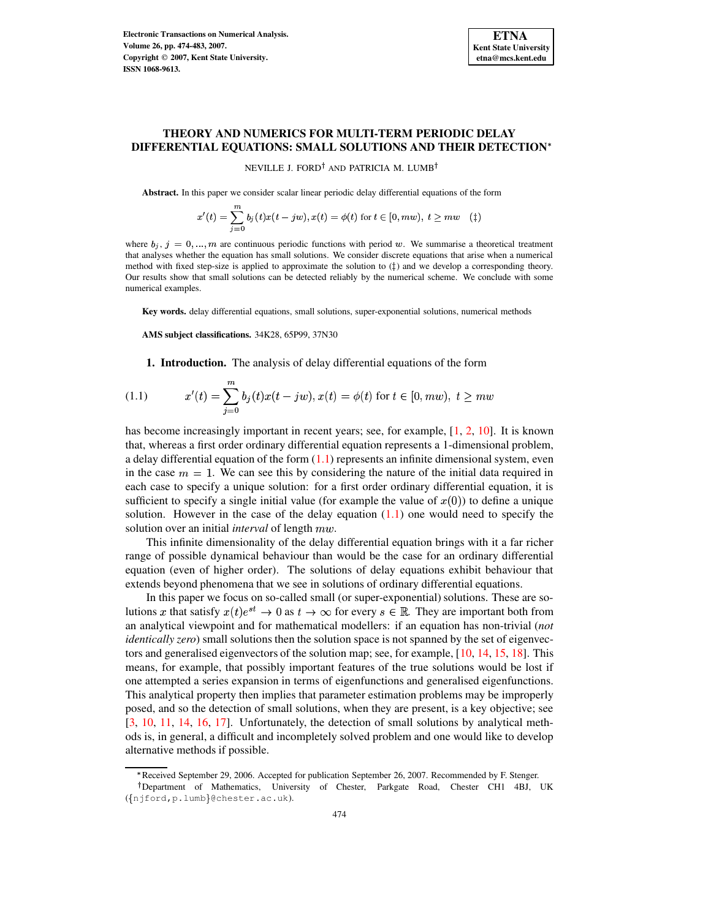

# **THEORY AND NUMERICS FOR MULTI-TERM PERIODIC DELAY DIFFERENTIAL EQUATIONS: SMALL SOLUTIONS AND THEIR DETECTION**

<span id="page-0-0"></span>NEVILLE J. FORD<sup>†</sup> AND PATRICIA M. LUMB<sup>†</sup>

**Abstract.** In this paper we consider scalar linear periodic delay differential equations of the form

$$
x'(t)=\sum_{j=0}^m b_j\left(t\right)x(t-jw), x(t)=\phi(t) \text{ for } t\in [0, m w), \ t\geq m w \quad (\ddag)
$$

where  $b_j$ ,  $j = 0, ..., m$  are continuous periodic functions with period w. We summarise a theoretical treatment that analyses whether the equation has small solutions. We consider discrete equations that arise when a numerical method with fixed step-size is applied to approximate the solution to  $(\ddagger)$  and we develop a corresponding theory. Our results show that small solutions can be detected reliably by the numerical scheme. We conclude with some numerical examples.

**Key words.** delay differential equations, small solutions, super-exponential solutions, numerical methods

**AMS subject classifications.** 34K28, 65P99, 37N30

**1. Introduction.** The analysis of delay differential equations of the form

(1.1) 
$$
x'(t) = \sum_{j=0}^{m} b_j(t)x(t - jw), x(t) = \phi(t) \text{ for } t \in [0, mw), t \geq mw
$$

has become increasingly important in recent years; see, for example, [\[1,](#page-8-0) [2,](#page-8-1) [10\]](#page-9-0). It is known that, whereas a first order ordinary differential equation represents a 1-dimensional problem, a delay differential equation of the form  $(1.1)$  represents an infinite dimensional system, even in the case  $m=1$ . We can see this by considering the nature of the initial data required in each case to specify a unique solution: for a first order ordinary differential equation, it is sufficient to specify a single initial value (for example the value of  $x(0)$ ) to define a unique solution. However in the case of the delay equation  $(1.1)$  one would need to specify the solution over an initial *interval* of length  $mw$ .

This infinite dimensionality of the delay differential equation brings with it a far richer range of possible dynamical behaviour than would be the case for an ordinary differential equation (even of higher order). The solutions of delay equations exhibit behaviour that extends beyond phenomena that we see in solutions of ordinary differential equations.

In this paper we focus on so-called small (or super-exponential) solutions. These are solutions x that satisfy  $x(t)e^{st} \to 0$  as  $t \to \infty$  for every  $s \in \mathbb{R}$ . They are important both from an analytical viewpoint and for mathematical modellers: if an equation has non-trivial (*not identically zero*) small solutions then the solution space is not spanned by the set of eigenvectors and generalised eigenvectors of the solution map; see, for example, [\[10,](#page-9-0) [14,](#page-9-1) [15,](#page-9-2) [18\]](#page-9-3). This means, for example, that possibly important features of the true solutions would be lost if one attempted a series expansion in terms of eigenfunctions and generalised eigenfunctions. This analytical property then implies that parameter estimation problems may be improperly posed, and so the detection of small solutions, when they are present, is a key objective; see [\[3,](#page-8-2) [10,](#page-9-0) [11,](#page-9-4) [14,](#page-9-1) [16,](#page-9-5) [17\]](#page-9-6). Unfortunately, the detection of small solutions by analytical methods is, in general, a difficult and incompletely solved problem and one would like to develop alternative methods if possible.

<sup>n</sup> Received September 29, 2006. Accepted for publication September 26, 2007. Recommended by F. Stenger.

<sup>&</sup>lt;sup>†</sup>Department of Mathematics, University of Chester, Parkgate Road, Chester CH1 4BJ, UK  $({$ niford, p.lumb} @chester.ac.uk).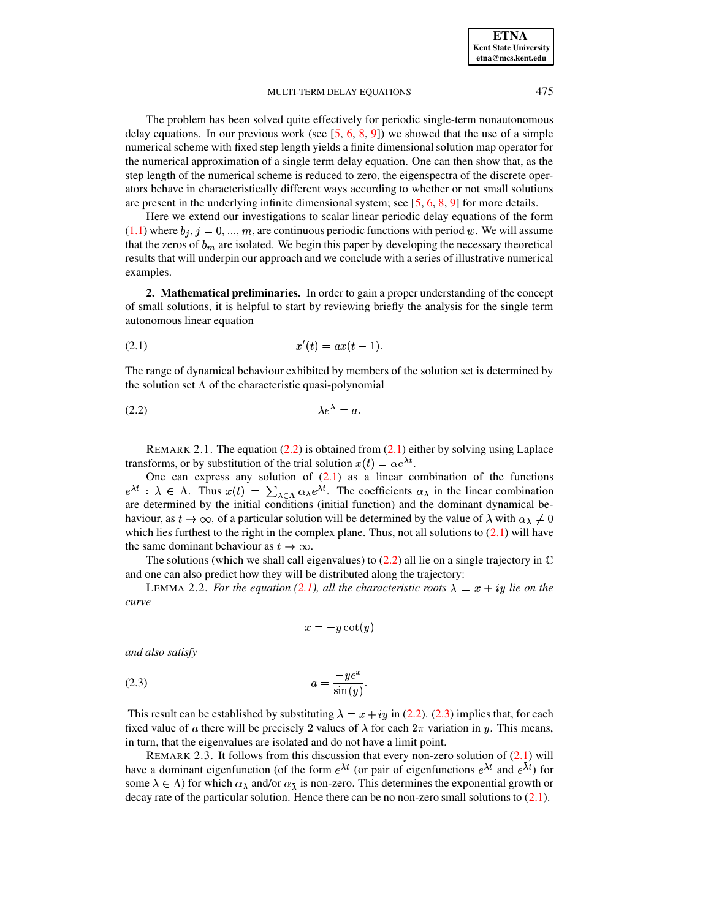### MULTI-TERM DELAY EQUATIONS 475

The problem has been solved quite effectively for periodic single-term nonautonomous delay equations. In our previous work (see  $[5, 6, 8, 9]$  $[5, 6, 8, 9]$  $[5, 6, 8, 9]$  $[5, 6, 8, 9]$  $[5, 6, 8, 9]$  $[5, 6, 8, 9]$  $[5, 6, 8, 9]$ ) we showed that the use of a simple numerical scheme with fixed step length yields a finite dimensional solution map operator for the numerical approximation of a single term delay equation. One can then show that, as the step length of the numerical scheme is reduced to zero, the eigenspectra of the discrete operators behave in characteristically different ways according to whether or not small solutions are present in the underlying infinite dimensional system; see  $[5, 6, 8, 9]$  $[5, 6, 8, 9]$  $[5, 6, 8, 9]$  $[5, 6, 8, 9]$  $[5, 6, 8, 9]$  $[5, 6, 8, 9]$  $[5, 6, 8, 9]$  for more details.

Here we extend our investigations to scalar linear periodic delay equations of the form  $(1.1)$  where  $b_j$ ,  $j=0, ..., m$ , are continuous periodic functions with period w. We will assume that the zeros of  $b_m$  are isolated. We begin this paper by developing the necessary theoretical results that will underpin our approach and we conclude with a series of illustrative numerical examples.

<span id="page-1-1"></span>**2. Mathematical preliminaries.** In order to gain a proper understanding of the concept of small solutions, it is helpful to start by reviewing briefly the analysis for the single term autonomous linear equation

$$
(2.1) \t\t x'(t) = ax(t-1).
$$

<span id="page-1-0"></span>The range of dynamical behaviour exhibited by members of the solution set is determined by the solution set  $\Lambda$  of the characteristic quasi-polynomial

$$
\lambda e^{\lambda} = a.
$$

REMARK 2.1. The equation  $(2.2)$  is obtained from  $(2.1)$  either by solving using Laplace transforms, or by substitution of the trial solution  $x(t) = \alpha e^{\lambda t}$ .

One can express any solution of  $(2.1)$  as a linear combination of the functions  $e^{\lambda t}$ :  $\lambda \in \Lambda$ . Thus  $x(t) = \sum_{\lambda \in \Lambda} \alpha_{\lambda} e^{\lambda t}$ . The coefficients  $\alpha_{\lambda}$  in the linear combination are determined by the initial conditions (initial function) and the dominant dynamical behaviour, as  $t\to\infty$ , of a particular solution will be determined by the value of  $\lambda$  with  $\alpha_{\lambda}\neq 0$  $\mathcal{N}$  where  $\mathcal{N}$ which lies furthest to the right in the complex plane. Thus, not all solutions to  $(2.1)$  will have the same dominant behaviour as  $t \to \infty$ .

The solutions (which we shall call eigenvalues) to [\(2.2\)](#page-1-0) all lie on a single trajectory in  $\mathbb C$ and one can also predict how they will be distributed along the trajectory:

LEMMA 2.2. For the equation [\(2.1\)](#page-1-1), all the characteristic roots  $\lambda = x + iy$  lie on the *curve*

$$
x = -y \cot(y)
$$

<span id="page-1-2"></span>*and also satisfy*

$$
(2.3) \t\t\t a = \frac{-ye^x}{\sin(y)}.
$$

This result can be established by substituting  $\lambda = x + iy$  in [\(2.2\)](#page-1-0). [\(2.3\)](#page-1-2) implies that, for each fixed value of a there will be precisely 2 values of  $\lambda$  for each  $2\pi$  variation in y. This means, in turn, that the eigenvalues are isolated and do not have a limit point.

REMARK 2.3. It follows from this discussion that every non-zero solution of [\(2.1\)](#page-1-1) will have a dominant eigenfunction (of the form  $e^{\lambda t}$  (or pair of eigenfunctions  $e^{\lambda t}$  and  $e^{\lambda t}$ ) for some  $\lambda \in \Lambda$ ) for which  $\alpha_{\lambda}$  and/or  $\alpha_{\bar{\lambda}}$  is non-zero. This determines the exponential growth or decay rate of the particular solution. Hence there can be no non-zero small solutions to  $(2.1)$ .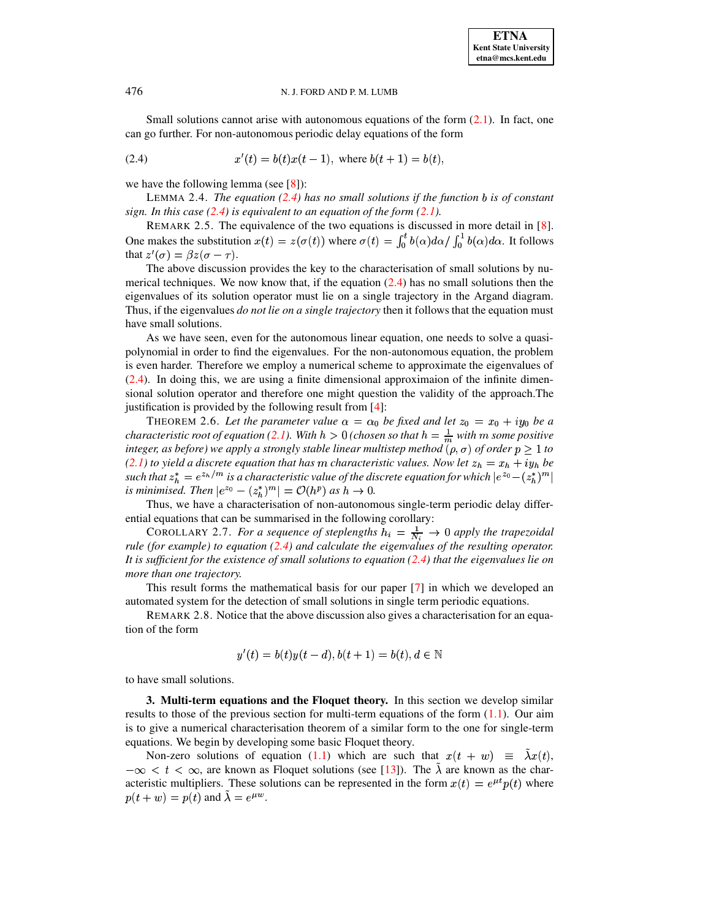## 476 N. J. FORD AND P. M. LUMB

Small solutions cannot arise with autonomous equations of the form [\(2.1\)](#page-1-1). In fact, one can go further. For non-autonomous periodic delay equations of the form

<span id="page-2-0"></span>(2.4) 
$$
x'(t) = b(t)x(t-1), \text{ where } b(t+1) = b(t),
$$

we have the following lemma (see  $[8]$ ):

LEMMA 2.4. *The equation [\(2.4\)](#page-2-0) has no small solutions if the function is of constant sign. In this case [\(2.4\)](#page-2-0) is equivalent to an equation of the form [\(2.1\)](#page-1-1).*

REMARK 2.5. The equivalence of the two equations is discussed in more detail in [\[8\]](#page-9-8). One makes the substitution  $x(t) = z(\sigma(t))$  where  $\sigma(t) = \int_0^t b(\alpha) d\alpha / \int_0^t b(\alpha) d\alpha$ . It follows that  $z'(\sigma) = \beta z(\sigma - \tau)$ .

The above discussion provides the key to the characterisation of small solutions by numerical techniques. We now know that, if the equation  $(2.4)$  has no small solutions then the eigenvalues of its solution operator must lie on a single trajectory in the Argand diagram. Thus, if the eigenvalues *do not lie on a single trajectory* then it follows that the equation must have small solutions.

As we have seen, even for the autonomous linear equation, one needs to solve a quasipolynomial in order to find the eigenvalues. For the non-autonomous equation, the problem is even harder. Therefore we employ a numerical scheme to approximate the eigenvalues of [\(2.4\)](#page-2-0). In doing this, we are using a finite dimensional approximaion of the infinite dimensional solution operator and therefore one might question the validity of the approach.The justification is provided by the following result from [\[4\]](#page-8-4):

THEOREM 2.6. Let the parameter value  $\alpha = \alpha_0$  be fixed and let  $z_0 = x_0 + iy_0$  be a *characteristic root of equation* [\(2.1\)](#page-1-1). With  $h > 0$  (chosen so that  $h = \frac{1}{m}$  with  $m$  some positive *integer, as before*) *we apply a strongly stable linear multistep method*  $(\rho, \sigma)$  *of order*  $p \geq 1$  *to [\(2.1\)](#page-1-1) to yield a discrete equation that has m characteristic values. Now let*  $z_h = x_h + iy_h$  *be* such that  $z_h^* = e^{z_h/m}$  is a characteristic value of the discrete equation for which  $|e^{z_0} - (z_h^*)^m|$ *is* minimised. Then  $|e^{z_0} - (z_h^*)^m| = \mathcal{O}(h^p)$  as  $h \to 0$ .

Thus, we have a characterisation of non-autonomous single-term periodic delay differential equations that can be summarised in the following corollary:

COROLLARY 2.7. *For a sequence of steplengths*  $h_i = \frac{1}{N_i} \rightarrow 0$  *apply the trapezoidal rule (for example) to equation [\(2.4\)](#page-2-0) and calculate the eigenvalues of the resulting operator. It is sufficient for the existence of small solutions to equation [\(2.4\)](#page-2-0) that the eigenvalues lie on more than one trajectory.*

This result forms the mathematical basis for our paper [\[7\]](#page-9-10) in which we developed an automated system for the detection of small solutions in single term periodic equations.

REMARK 2.8. Notice that the above discussion also gives a characterisation for an equation of the form

$$
y'(t) = b(t)y(t-d), b(t+1) = b(t), d \in \mathbb{N}
$$

to have small solutions.

**3. Multi-term equations and the Floquet theory.** In this section we develop similar results to those of the previous section for multi-term equations of the form  $(1.1)$ . Our aim is to give a numerical characterisation theorem of a similar form to the one for single-term equations. We begin by developing some basic Floquet theory.

Non-zero solutions of equation [\(1.1\)](#page-0-0) which are such that  $x(t + w) \equiv \lambda x(t)$ ,  $-\infty < t < \infty$ , are known as Floquet solutions (see [\[13\]](#page-9-11)). The  $\lambda$  are known as the characteristic multipliers. These solutions can be represented in the form  $x(t) = e^{\mu t}p(t)$  where  $p(t+w) = p(t)$  and  $\lambda = e^{\mu w}$ .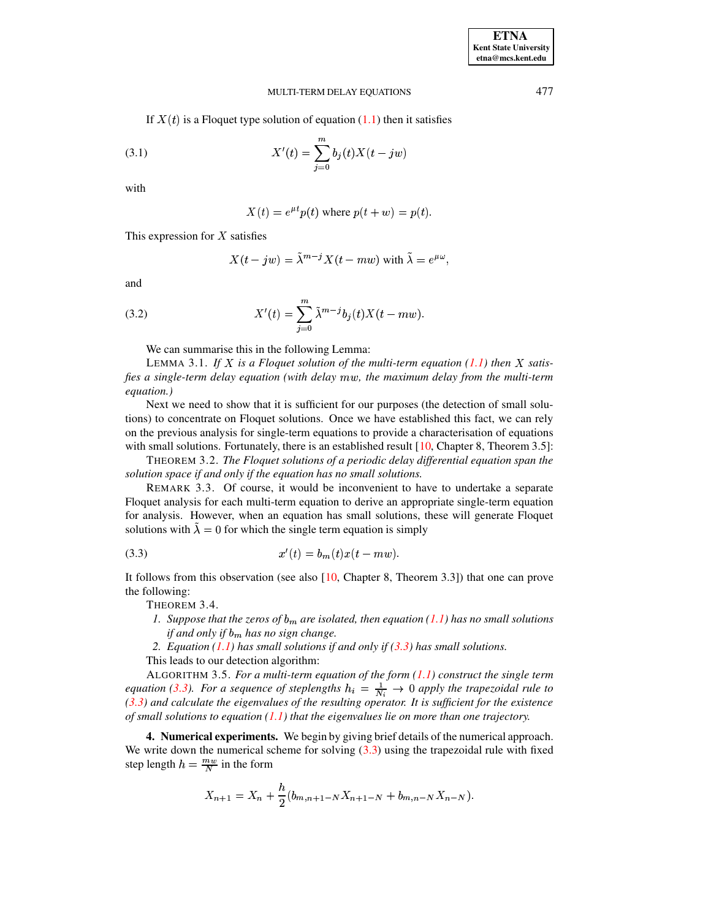#### <span id="page-3-1"></span>MULTI-TERM DELAY EQUATIONS

If  $X(t)$  is a Floquet type solution of equation (1.1) then it satisfies

(3.1) 
$$
X'(t) = \sum_{j=0}^{m} b_j(t) X(t - jw)
$$

with

$$
X(t) = e^{\mu t} p(t)
$$
 where  $p(t + w) = p(t)$ .

This expression for  $X$  satisfies

$$
X(t - jw) = \tilde{\lambda}^{m-j} X(t - mw) \text{ with } \tilde{\lambda} = e^{\mu \omega},
$$

<span id="page-3-2"></span>and

(3.2) 
$$
X'(t) = \sum_{j=0}^{m} \tilde{\lambda}^{m-j} b_j(t) X(t - m w).
$$

We can summarise this in the following Lemma:

LEMMA 3.1. If X is a Floquet solution of the multi-term equation (1.1) then X satisfies a single-term delay equation (with delay mw, the maximum delay from the multi-term equation.)

Next we need to show that it is sufficient for our purposes (the detection of small solutions) to concentrate on Floquet solutions. Once we have established this fact, we can rely on the previous analysis for single-term equations to provide a characterisation of equations with small solutions. Fortunately, there is an established result  $[10,$  Chapter 8, Theorem 3.5]:

THEOREM 3.2. The Floquet solutions of a periodic delay differential equation span the solution space if and only if the equation has no small solutions.

REMARK 3.3. Of course, it would be inconvenient to have to undertake a separate Floquet analysis for each multi-term equation to derive an appropriate single-term equation for analysis. However, when an equation has small solutions, these will generate Floquet solutions with  $\lambda = 0$  for which the single term equation is simply

(3.3) 
$$
x'(t) = b_m(t)x(t - mw).
$$

It follows from this observation (see also  $[10,$  Chapter 8, Theorem 3.3) that one can prove the following:

THEOREM 3.4.

- <span id="page-3-0"></span>1. Suppose that the zeros of  $b_m$  are isolated, then equation (1.1) has no small solutions if and only if  $b_m$  has no sign change.
- 2. Equation (1.1) has small solutions if and only if  $(3.3)$  has small solutions.

This leads to our detection algorithm:

ALGORITHM 3.5. For a multi-term equation of the form  $(1.1)$  construct the single term equation (3.3). For a sequence of steplengths  $h_i = \frac{1}{N_i} \rightarrow 0$  apply the trapezoidal rule to  $(3.3)$  and calculate the eigenvalues of the resulting operator. It is sufficient for the existence of small solutions to equation  $(1.1)$  that the eigenvalues lie on more than one trajectory.

**4. Numerical experiments.** We begin by giving brief details of the numerical approach. We write down the numerical scheme for solving  $(3.3)$  using the trapezoidal rule with fixed step length  $h = \frac{mw}{N}$  in the form

$$
X_{n+1} = X_n + \frac{h}{2}(b_{m,n+1-N}X_{n+1-N} + b_{m,n-N}X_{n-N}).
$$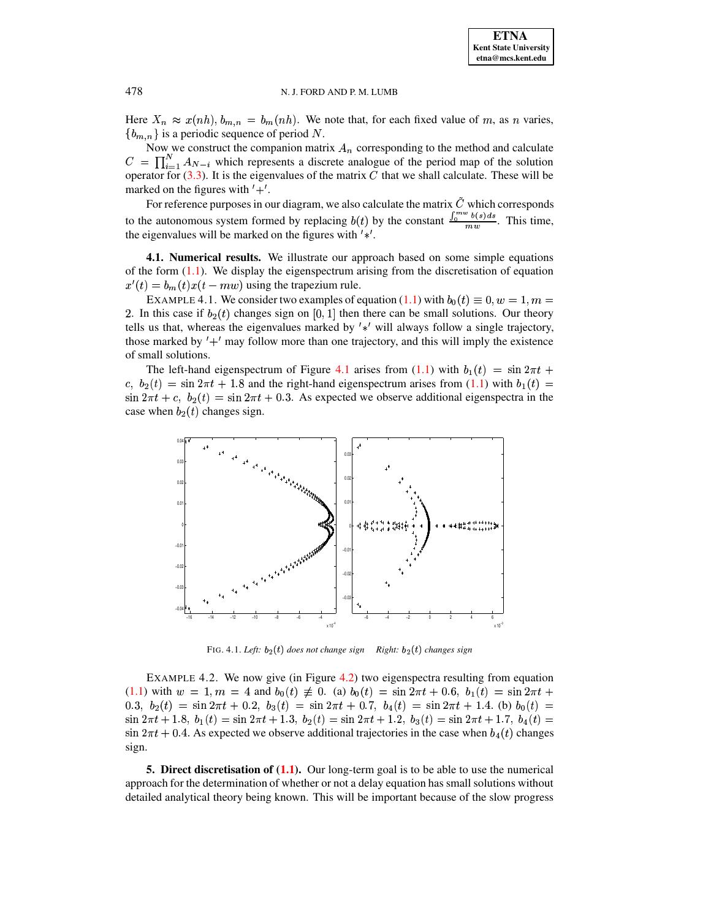#### N. J. FORD AND P. M. LUMB

Here  $X_n \approx x(nh)$ ,  $b_{m,n} = b_m(nh)$ . We note that, for each fixed value of m, as n varies,  ${b_{m,n}}$  is a periodic sequence of period N.

Now we construct the companion matrix  $A_n$  corresponding to the method and calculate  $C = \prod_{i=1}^{N} A_{N-i}$  which represents a discrete analogue of the period map of the solution operator for  $(3.3)$ . It is the eigenvalues of the matrix C that we shall calculate. These will be marked on the figures with  $'+'.$ 

For reference purposes in our diagram, we also calculate the matrix  $\tilde{C}$  which corresponds to the autonomous system formed by replacing  $b(t)$  by the constant  $\frac{\int_0^{mw} b(s)ds}{mw}$ . This time, the eigenvalues will be marked on the figures with  $'$ \*'.

4.1. Numerical results. We illustrate our approach based on some simple equations of the form  $(1.1)$ . We display the eigenspectrum arising from the discretisation of equation  $x'(t) = b_m(t)x(t - mw)$  using the trapezium rule.

EXAMPLE 4.1. We consider two examples of equation (1.1) with  $b_0(t) \equiv 0, w = 1, m =$ 2. In this case if  $b_2(t)$  changes sign on [0, 1] then there can be small solutions. Our theory tells us that, whereas the eigenvalues marked by  $' *'$  will always follow a single trajectory, those marked by  $' +'$  may follow more than one trajectory, and this will imply the existence of small solutions.

The left-hand eigenspectrum of Figure 4.1 arises from (1.1) with  $b_1(t) = \sin 2\pi t +$ c,  $b_2(t) = \sin 2\pi t + 1.8$  and the right-hand eigenspectrum arises from (1.1) with  $b_1(t)$  $\sin 2\pi t + c$ ,  $b_2(t) = \sin 2\pi t + 0.3$ . As expected we observe additional eigenspectra in the case when  $b_2(t)$  changes sign.



FIG. 4.1. Left:  $b_2(t)$  does not change sign Right:  $b_2(t)$  changes sign

<span id="page-4-0"></span>EXAMPLE 4.2. We now give (in Figure 4.2) two eigenspectra resulting from equation  $(1.1)$  with  $w = 1, m = 4$  and  $b_0(t) \neq 0$ . (a)  $b_0(t) = \sin 2\pi t + 0.6$ ,  $b_1(t) = \sin 2\pi t +$ 0.3,  $b_2(t) = \sin 2\pi t + 0.2$ ,  $b_3(t) = \sin 2\pi t + 0.7$ ,  $b_4(t) = \sin 2\pi t + 1.4$ . (b)  $b_0(t) =$  $\sin 2\pi t + 1.8$ ,  $b_1(t) = \sin 2\pi t + 1.3$ ,  $b_2(t) = \sin 2\pi t + 1.2$ ,  $b_3(t) = \sin 2\pi t + 1.7$ ,  $b_4(t) =$  $\sin 2\pi t + 0.4$ . As expected we observe additional trajectories in the case when  $b_4(t)$  changes sign.

5. Direct discretisation of (1.1). Our long-term goal is to be able to use the numerical approach for the determination of whether or not a delay equation has small solutions without detailed analytical theory being known. This will be important because of the slow progress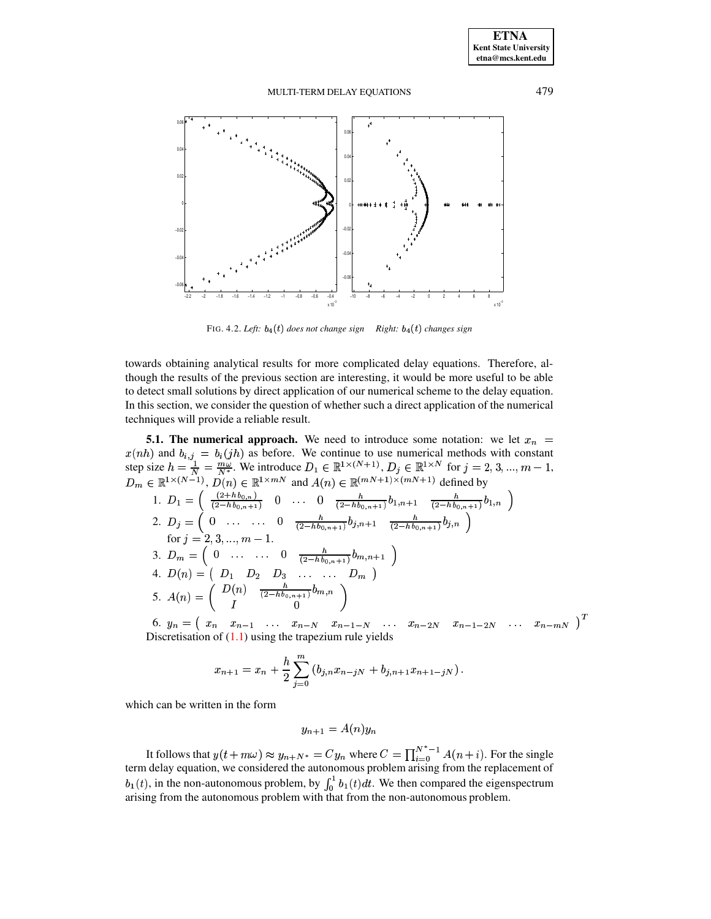#### MULTI-TERM DELAY EQUATIONS



FIG. 4.2. Left:  $b_4(t)$  does not change sign Right:  $b_4(t)$  changes sign

<span id="page-5-0"></span>towards obtaining analytical results for more complicated delay equations. Therefore, although the results of the previous section are interesting, it would be more useful to be able to detect small solutions by direct application of our numerical scheme to the delay equation. In this section, we consider the question of whether such a direct application of the numerical techniques will provide a reliable result.

**5.1. The numerical approach.** We need to introduce some notation: we let  $x_n$  = 3.1. The numerical approach. We need to introduce some notation. We fit  $x_n = x(nh)$  and  $b_{i,j} = b_i(jh)$  as before. We continue to use numerical methods with constant<br>step size  $h = \frac{1}{N} = \frac{m\omega}{N^*}$ . We introduce  $D_1 \in \mathbb{R$ 3.  $D_m = \begin{pmatrix} 0 & \dots & \dots & 0 & \frac{h}{(2-hb_{0,n+1})}b_{m,n+1} \end{pmatrix}$ 4.  $D(n) = \begin{pmatrix} D_1 & D_2 & D_3 & \dots & \dots & D_m \end{pmatrix}$ <br>
5.  $A(n) = \begin{pmatrix} D(n) & \frac{h}{(2-hb_{0,n+1})}b_{m,n} \\ I \end{pmatrix}$ 6.  $y_n = (x_n, x_{n-1}, \ldots, x_{n-N}, x_{n-1-N}, \ldots, x_{n-2N}, x_{n-1-2N}, \ldots, x_{n-mN})^T$ Discretisation of  $(1.1)$  using the trapezium rule yields

$$
x_{n+1} = x_n + \frac{h}{2} \sum_{j=0}^{m} (b_{j,n} x_{n-j} + b_{j,n+1} x_{n+1-j})
$$

which can be written in the form

$$
y_{n+1} = A(n)y_n
$$

It follows that  $y(t + m\omega) \approx y_{n+N^*} = Cy_n$  where  $C = \prod_{i=0}^{N^*-1} A(n+i)$ . For the single term delay equation, we considered the autonomous problem arising from the replacement of  $b_1(t)$ , in the non-autonomous problem, by  $\int_0^1 b_1(t) dt$ . We then compared the eigenspectrum arising from the autonomous problem with that from the non-autonomous problem.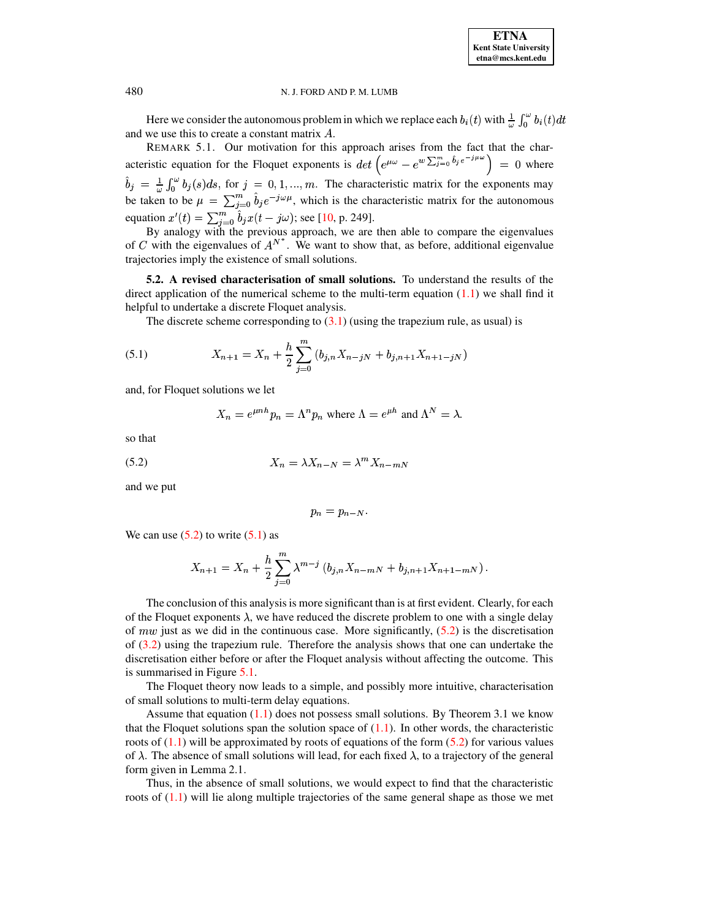#### N. J. FORD AND P. M. LUMB

Here we consider the autonomous problem in which we replace each  $b_i(t)$  with  $\frac{1}{\omega} \int_0^{\omega} b_i(t) dt$ and we use this to create a constant matrix  $A$ .

REMARK 5.1. Our motivation for this approach arises from the fact that the characteristic equation for the Floquet exponents is  $\det\left(e^{\mu\omega}-e^{w\sum_{j=0}^{m}\hat{b}_j e^{-j\mu\omega}}\right)=0$  where  $\hat{b}_j = \frac{1}{\omega} \int_0^{\omega} b_j(s) ds$ , for  $j = 0, 1, ..., m$ . The characteristic matrix for the exponents may be taken to be  $\mu = \sum_{j=0}^{m} \hat{b}_j e^{-j\omega\mu}$ , which is the characteristic matrix for the autonomous equation  $x'(t) = \sum_{i=0}^{m} \hat{b}_i x(t - j\omega)$ ; see [10, p. 249].

By analogy with the previous approach, we are then able to compare the eigenvalues<br>of C with the eigenvalues of  $A^{N^*}$ . We want to show that, as before, additional eigenvalue trajectories imply the existence of small solutions.

5.2. A revised characterisation of small solutions. To understand the results of the direct application of the numerical scheme to the multi-term equation  $(1.1)$  we shall find it helpful to undertake a discrete Floquet analysis.

The discrete scheme corresponding to  $(3.1)$  (using the trapezium rule, as usual) is

(5.1) 
$$
X_{n+1} = X_n + \frac{h}{2} \sum_{j=0}^{m} (b_{j,n} X_{n-j} + b_{j,n+1} X_{n+1-j} )
$$

and, for Floquet solutions we let

$$
X_n = e^{\mu nh} p_n = \Lambda^n p_n
$$
 where  $\Lambda = e^{\mu h}$  and  $\Lambda^N = \lambda$ .

<span id="page-6-0"></span>so that

$$
(5.2) \t\t X_n = \lambda X_{n-N} = \lambda^m X_{n-mN}
$$

and we put

<span id="page-6-1"></span>
$$
p_n=p_{n-N}
$$

We can use  $(5.2)$  to write  $(5.1)$  as

$$
X_{n+1} = X_n + \frac{h}{2} \sum_{j=0}^{m} \lambda^{m-j} (b_{j,n} X_{n-mN} + b_{j,n+1} X_{n+1-mN}).
$$

The conclusion of this analysis is more significant than is at first evident. Clearly, for each of the Floquet exponents  $\lambda$ , we have reduced the discrete problem to one with a single delay of *mw* just as we did in the continuous case. More significantly,  $(5.2)$  is the discretisation of  $(3.2)$  using the trapezium rule. Therefore the analysis shows that one can undertake the discretisation either before or after the Floquet analysis without affecting the outcome. This is summarised in Figure 5.1.

The Floquet theory now leads to a simple, and possibly more intuitive, characterisation of small solutions to multi-term delay equations.

Assume that equation  $(1.1)$  does not possess small solutions. By Theorem 3.1 we know that the Floquet solutions span the solution space of  $(1.1)$ . In other words, the characteristic roots of  $(1.1)$  will be approximated by roots of equations of the form  $(5.2)$  for various values of  $\lambda$ . The absence of small solutions will lead, for each fixed  $\lambda$ , to a trajectory of the general form given in Lemma 2.1.

Thus, in the absence of small solutions, we would expect to find that the characteristic roots of  $(1.1)$  will lie along multiple trajectories of the same general shape as those we met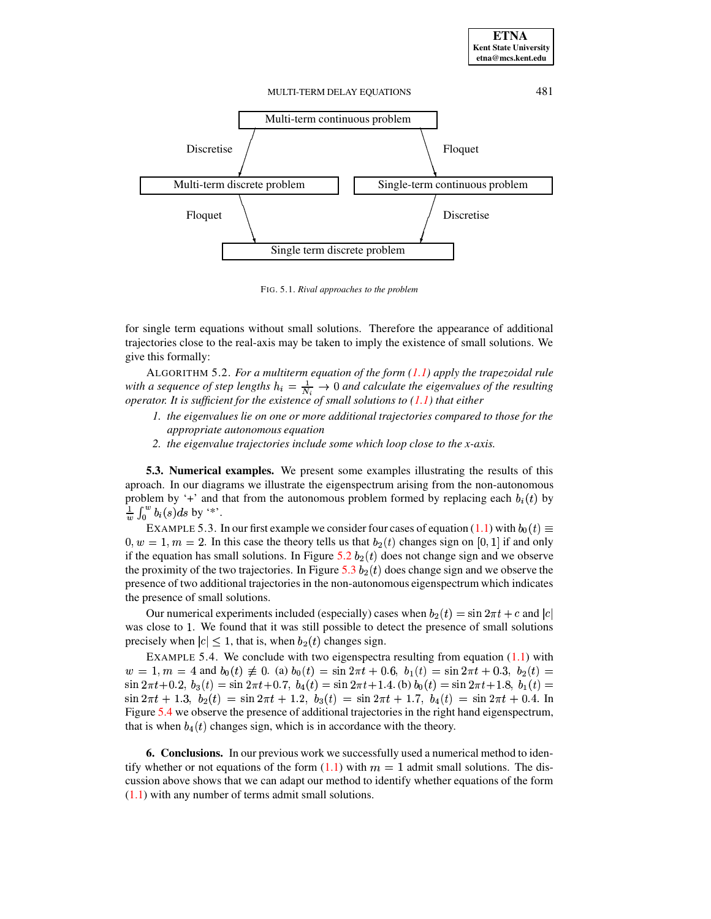

<span id="page-7-0"></span>FIG. 5.1. Rival approaches to the problem

for single term equations without small solutions. Therefore the appearance of additional trajectories close to the real-axis may be taken to imply the existence of small solutions. We give this formally:

ALGORITHM 5.2. For a multiterm equation of the form  $(1.1)$  apply the trapezoidal rule with a sequence of step lengths  $h_i = \frac{1}{N_i} \rightarrow 0$  and calculate the eigenvalues of the resulting operator. It is sufficient for the existence of small solutions to  $(1.1)$  that either

- 1. the eigenvalues lie on one or more additional trajectories compared to those for the appropriate autonomous equation
- 2. the eigenvalue trajectories include some which loop close to the x-axis.

5.3. Numerical examples. We present some examples illustrating the results of this aproach. In our diagrams we illustrate the eigenspectrum arising from the non-autonomous problem by '+' and that from the autonomous problem formed by replacing each  $b_i(t)$  by  $\frac{1}{w}\int_0^w b_i(s)ds$  by '\*'.

EXAMPLE 5.3. In our first example we consider four cases of equation (1.1) with  $b_0(t) \equiv$  $0, w = 1, m = 2$ . In this case the theory tells us that  $b_2(t)$  changes sign on [0, 1] if and only if the equation has small solutions. In Figure 5.2  $b_2(t)$  does not change sign and we observe the proximity of the two trajectories. In Figure 5.3  $b_2(t)$  does change sign and we observe the presence of two additional trajectories in the non-autonomous eigenspectrum which indicates the presence of small solutions.

Our numerical experiments included (especially) cases when  $b_2(t) = \sin 2\pi t + c$  and  $|c|$ was close to 1. We found that it was still possible to detect the presence of small solutions precisely when  $|c| \leq 1$ , that is, when  $b_2(t)$  changes sign.

EXAMPLE 5.4. We conclude with two eigenspectra resulting from equation  $(1.1)$  with  $w = 1, m = 4$  and  $b_0(t) \neq 0$ . (a)  $b_0(t) = \sin 2\pi t + 0.6$ ,  $b_1(t) = \sin 2\pi t + 0.3$ ,  $b_2(t) =$  $\sin 2\pi t + 0.2$ ,  $b_3(t) = \sin 2\pi t + 0.7$ ,  $b_4(t) = \sin 2\pi t + 1.4$ . (b)  $b_0(t) = \sin 2\pi t + 1.8$ ,  $b_1(t) =$  $\sin 2\pi t + 1.3$ ,  $b_2(t) = \sin 2\pi t + 1.2$ ,  $b_3(t) = \sin 2\pi t + 1.7$ ,  $b_4(t) = \sin 2\pi t + 0.4$ . In Figure 5.4 we observe the presence of additional trajectories in the right hand eigenspectrum, that is when  $b_4(t)$  changes sign, which is in accordance with the theory.

**6. Conclusions.** In our previous work we successfully used a numerical method to identify whether or not equations of the form  $(1.1)$  with  $m = 1$  admit small solutions. The discussion above shows that we can adapt our method to identify whether equations of the form  $(1.1)$  with any number of terms admit small solutions.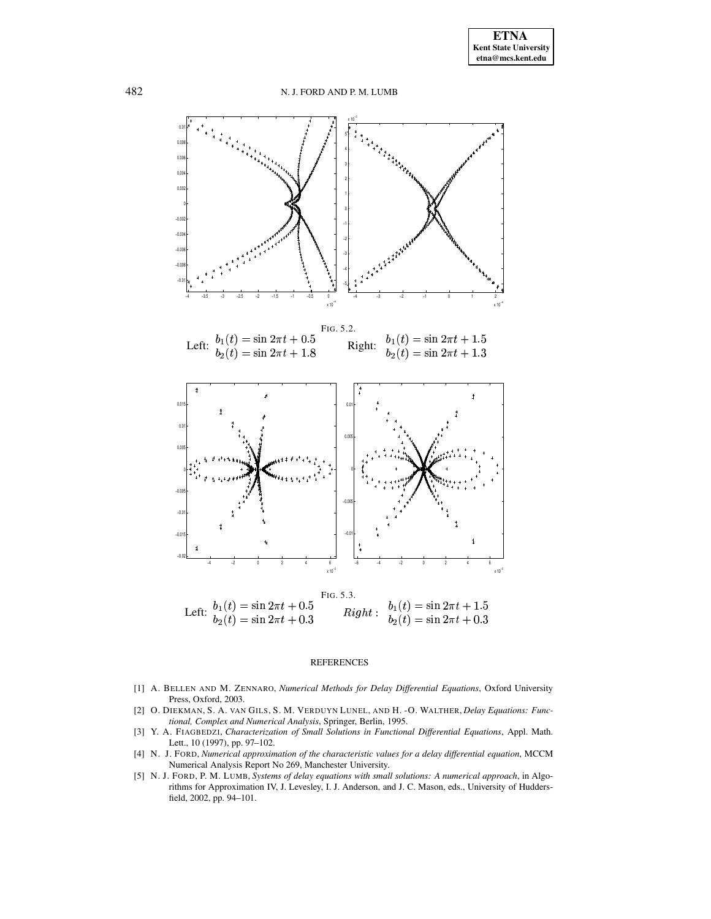<span id="page-8-5"></span>

#### <span id="page-8-6"></span>**REFERENCES**

- <span id="page-8-0"></span>[1] A. BELLEN AND M. ZENNARO, Numerical Methods for Delay Differential Equations, Oxford University Press, Oxford, 2003.
- <span id="page-8-1"></span>[2] O. DIEKMAN, S. A. VAN GILS, S. M. VERDUYN LUNEL, AND H. -O. WALTHER, Delay Equations: Functional, Complex and Numerical Analysis, Springer, Berlin, 1995.
- <span id="page-8-2"></span>[3] Y. A. FIAGBEDZI, Characterization of Small Solutions in Functional Differential Equations, Appl. Math. Lett., 10 (1997), pp. 97-102.
- <span id="page-8-4"></span>[4] N. J. FORD, Numerical approximation of the characteristic values for a delay differential equation, MCCM Numerical Analysis Report No 269, Manchester University.
- <span id="page-8-3"></span>[5] N. J. FORD, P. M. LUMB, Systems of delay equations with small solutions: A numerical approach, in Algorithms for Approximation IV, J. Levesley, I. J. Anderson, and J. C. Mason, eds., University of Huddersfield, 2002, pp. 94-101.